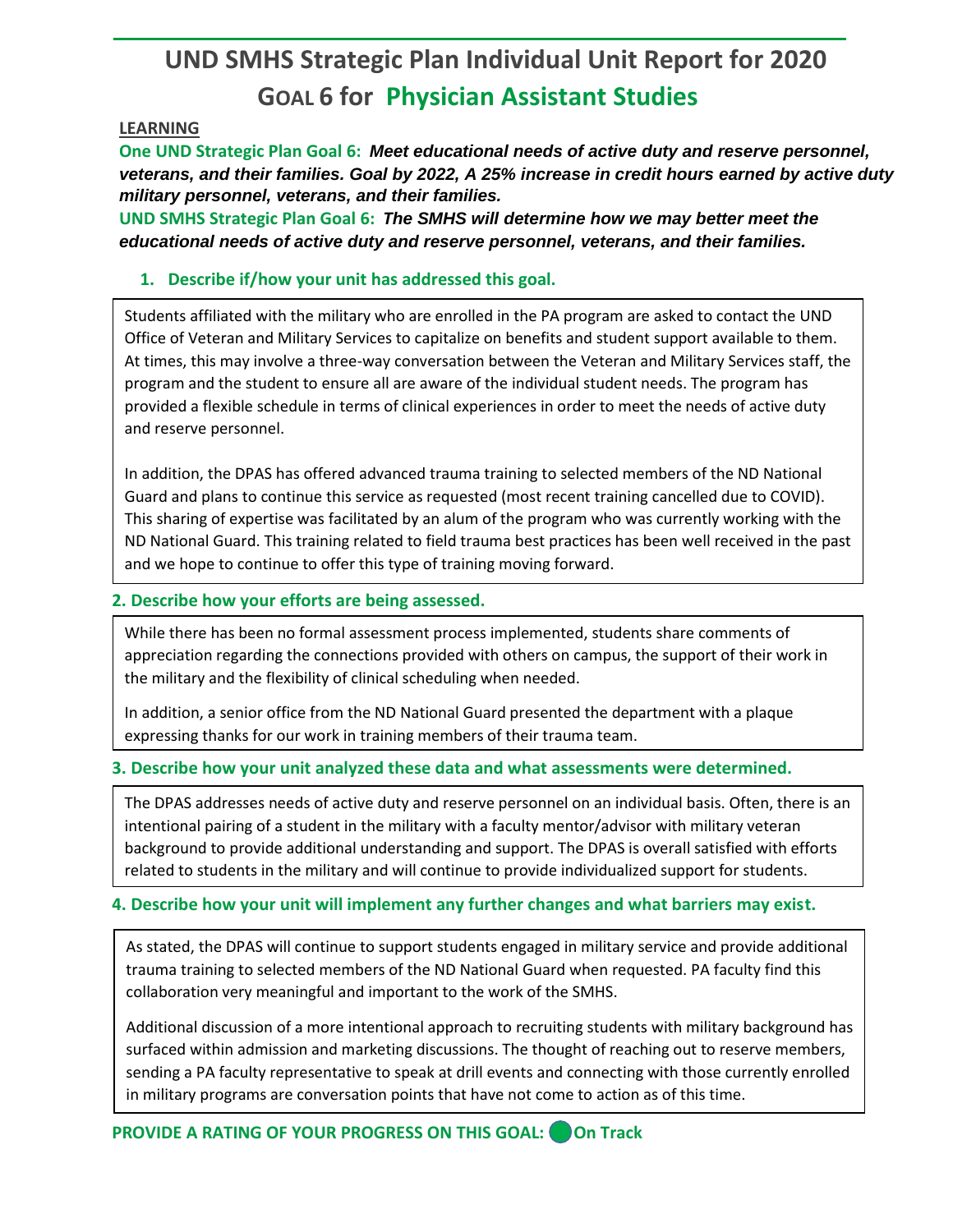# **UND SMHS Strategic Plan Individual Unit Report for 2020 GOAL 6 for Physician Assistant Studies**

#### **LEARNING**

**One UND Strategic Plan Goal 6:** *Meet educational needs of active duty and reserve personnel, veterans, and their families. Goal by 2022, A 25% increase in credit hours earned by active duty military personnel, veterans, and their families.*

**UND SMHS Strategic Plan Goal 6:** *The SMHS will determine how we may better meet the educational needs of active duty and reserve personnel, veterans, and their families.*

## **1. Describe if/how your unit has addressed this goal.**

Students affiliated with the military who are enrolled in the PA program are asked to contact the UND Office of Veteran and Military Services to capitalize on benefits and student support available to them. At times, this may involve a three-way conversation between the Veteran and Military Services staff, the program and the student to ensure all are aware of the individual student needs. The program has provided a flexible schedule in terms of clinical experiences in order to meet the needs of active duty and reserve personnel.

In addition, the DPAS has offered advanced trauma training to selected members of the ND National Guard and plans to continue this service as requested (most recent training cancelled due to COVID). This sharing of expertise was facilitated by an alum of the program who was currently working with the ND National Guard. This training related to field trauma best practices has been well received in the past and we hope to continue to offer this type of training moving forward.

### **2. Describe how your efforts are being assessed.**

While there has been no formal assessment process implemented, students share comments of appreciation regarding the connections provided with others on campus, the support of their work in the military and the flexibility of clinical scheduling when needed.

In addition, a senior office from the ND National Guard presented the department with a plaque expressing thanks for our work in training members of their trauma team.

## **3. Describe how your unit analyzed these data and what assessments were determined.**

The DPAS addresses needs of active duty and reserve personnel on an individual basis. Often, there is an intentional pairing of a student in the military with a faculty mentor/advisor with military veteran background to provide additional understanding and support. The DPAS is overall satisfied with efforts related to students in the military and will continue to provide individualized support for students.

## **4. Describe how your unit will implement any further changes and what barriers may exist.**

As stated, the DPAS will continue to support students engaged in military service and provide additional trauma training to selected members of the ND National Guard when requested. PA faculty find this collaboration very meaningful and important to the work of the SMHS.

Additional discussion of a more intentional approach to recruiting students with military background has surfaced within admission and marketing discussions. The thought of reaching out to reserve members, sending a PA faculty representative to speak at drill events and connecting with those currently enrolled in military programs are conversation points that have not come to action as of this time.